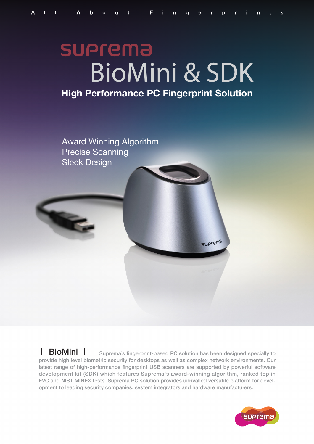# **SUPrema** BioMini & SDK

## **High Performance PC Fingerprint Solution**



**BioMini**  $\parallel$  suprema's fingerprint-based PC solution has been designed specially to provide high level biometric security for desktops as well as complex network environments. Our latest range of high-performance fingerprint USB scanners are supported by powerful software development kit (SDK) which features Suprema's award-winning algorithm, ranked top in FVC and NIST MINEX tests. Suprema PC solution provides unrivalled versatile platform for development to leading security companies, system integrators and hardware manufacturers.